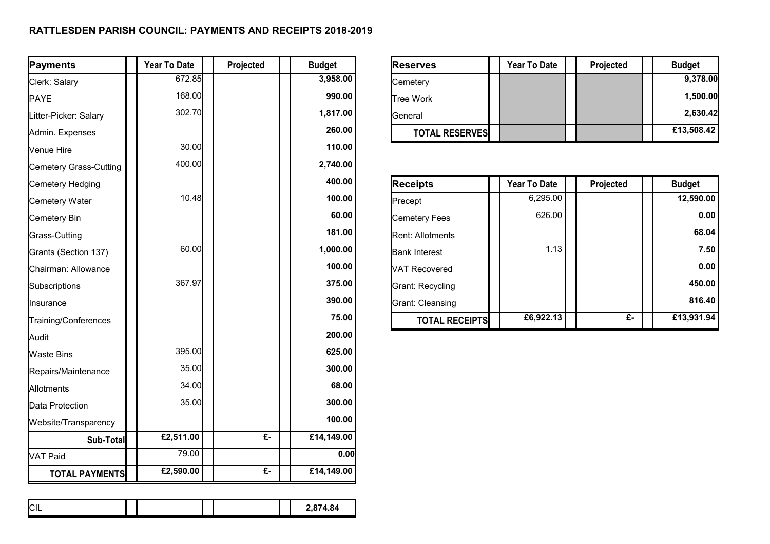## **RATTLESDEN PARISH COUNCIL: PAYMENTS AND RECEIPTS 2018-2019**

| Payments               | Year To Date | Projected | <b>Budget</b> | <b>Reserves</b>         | <b>Year To Date</b> | Projected        | <b>Budget</b> |
|------------------------|--------------|-----------|---------------|-------------------------|---------------------|------------------|---------------|
| Clerk: Salary          | 672.85       |           | 3,958.00      | Cemetery                |                     |                  | 9,378.00      |
| PAYE                   | 168.00       |           | 990.00        | <b>Tree Work</b>        |                     |                  | 1,500.00      |
| Litter-Picker: Salary  | 302.70       |           | 1,817.00      | General                 |                     |                  | 2,630.42      |
| Admin. Expenses        |              |           | 260.00        | <b>TOTAL RESERVES</b>   |                     |                  | £13,508.42    |
| Venue Hire             | 30.00        |           | 110.00        |                         |                     |                  |               |
| Cemetery Grass-Cutting | 400.00       |           | 2,740.00      |                         |                     |                  |               |
| Cemetery Hedging       |              |           | 400.00        | <b>Receipts</b>         | Year To Date        | Projected        | <b>Budget</b> |
| Cemetery Water         | 10.48        |           | 100.00        | Precept                 | 6,295.00            |                  | 12,590.00     |
| Cemetery Bin           |              |           | 60.00         | <b>Cemetery Fees</b>    | 626.00              |                  | 0.00          |
| Grass-Cutting          |              |           | 181.00        | <b>Rent: Allotments</b> |                     |                  | 68.04         |
| Grants (Section 137)   | 60.00        |           | 1,000.00      | <b>Bank Interest</b>    | 1.13                |                  | 7.50          |
| Chairman: Allowance    |              |           | 100.00        | <b>VAT Recovered</b>    |                     |                  | 0.00          |
| Subscriptions          | 367.97       |           | 375.00        | <b>Grant: Recycling</b> |                     |                  | 450.00        |
| Insurance              |              |           | 390.00        | <b>Grant: Cleansing</b> |                     |                  | 816.40        |
| Training/Conferences   |              |           | 75.00         | <b>TOTAL RECEIPTS</b>   | £6,922.13           | $\overline{f}$ . | £13,931.94    |
| Audit                  |              |           | 200.00        |                         |                     |                  |               |
| Waste Bins             | 395.00       |           | 625.00        |                         |                     |                  |               |
| Repairs/Maintenance    | 35.00        |           | 300.00        |                         |                     |                  |               |
| Allotments             | 34.00        |           | 68.00         |                         |                     |                  |               |
| Data Protection        | 35.00        |           | 300.00        |                         |                     |                  |               |
| Website/Transparency   |              |           | 100.00        |                         |                     |                  |               |
| Sub-Total              | £2,511.00    | $E -$     | £14,149.00    |                         |                     |                  |               |
| VAT Paid               | 79.00        |           | 0.00          |                         |                     |                  |               |
| <b>TOTAL PAYMENTS</b>  | £2,590.00    | £-        | £14,149.00    |                         |                     |                  |               |

|  | $\sim$<br>ᄖ |  |  |  |  |  | 2,874.84 |
|--|-------------|--|--|--|--|--|----------|
|--|-------------|--|--|--|--|--|----------|

| <b>Reserves</b>       | <b>Year To Date</b> | Projected | <b>Budget</b> |
|-----------------------|---------------------|-----------|---------------|
| Cemetery              |                     |           | 9,378.00      |
| <b>Tree Work</b>      |                     |           | 1,500.00      |
| <b>I</b> General      |                     |           | 2,630.42      |
| <b>TOTAL RESERVES</b> |                     |           | £13,508.42    |

| <b>Receipts</b>         | <b>Year To Date</b> | Projected | <b>Budget</b> |
|-------------------------|---------------------|-----------|---------------|
| Precept                 | 6,295.00            |           | 12,590.00     |
| <b>Cemetery Fees</b>    | 626.00              |           | 0.00          |
| <b>Rent: Allotments</b> |                     |           | 68.04         |
| <b>Bank Interest</b>    | 1.13                |           | 7.50          |
| <b>VAT Recovered</b>    |                     |           | 0.00          |
| Grant: Recycling        |                     |           | 450.00        |
| Grant: Cleansing        |                     |           | 816.40        |
| <b>TOTAL RECEIPTS</b>   | £6,922.13           | £-        | £13,931.94    |